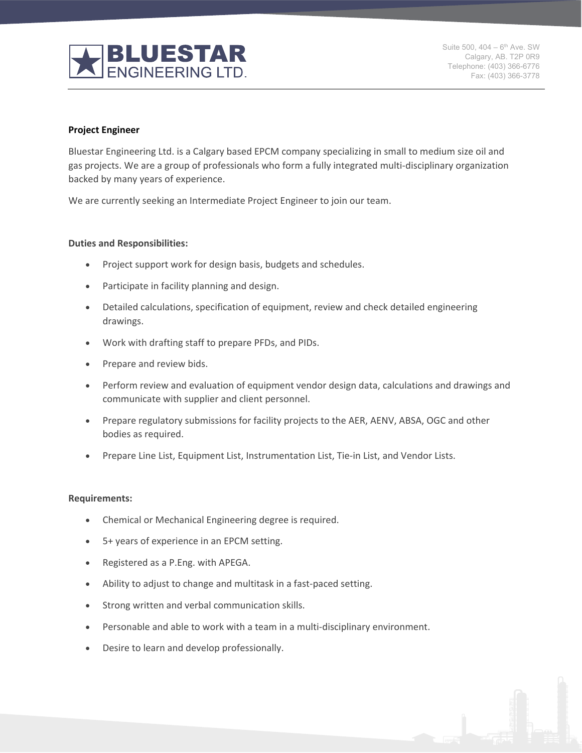

Suite 500,  $404 - 6^{th}$  Ave. SW Calgary, AB. T2P 0R9 Telephone: (403) 366-6776 Fax: (403) 366-3778

### **Project Engineer**

Bluestar Engineering Ltd. is a Calgary based EPCM company specializing in small to medium size oil and gas projects. We are a group of professionals who form a fully integrated multi-disciplinary organization backed by many years of experience.

We are currently seeking an Intermediate Project Engineer to join our team.

### **Duties and Responsibilities:**

- Project support work for design basis, budgets and schedules.
- Participate in facility planning and design.
- Detailed calculations, specification of equipment, review and check detailed engineering drawings.
- Work with drafting staff to prepare PFDs, and PIDs.
- Prepare and review bids.
- Perform review and evaluation of equipment vendor design data, calculations and drawings and communicate with supplier and client personnel.
- Prepare regulatory submissions for facility projects to the AER, AENV, ABSA, OGC and other bodies as required.
- Prepare Line List, Equipment List, Instrumentation List, Tie-in List, and Vendor Lists.

### **Requirements:**

- Chemical or Mechanical Engineering degree is required.
- 5+ years of experience in an EPCM setting.
- Registered as a P.Eng. with APEGA.
- Ability to adjust to change and multitask in a fast-paced setting.
- Strong written and verbal communication skills.
- Personable and able to work with a team in a multi-disciplinary environment.
- Desire to learn and develop professionally.